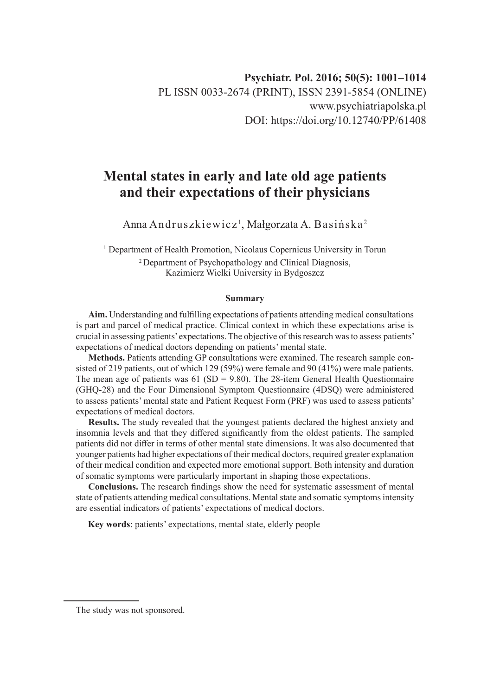# **Mental states in early and late old age patients and their expectations of their physicians**

Anna Andruszkiewicz<sup>i</sup>, Małgorzata A. Basińska<sup>2</sup>

<sup>1</sup> Department of Health Promotion, Nicolaus Copernicus University in Torun 2 Department of Psychopathology and Clinical Diagnosis, Kazimierz Wielki University in Bydgoszcz

#### **Summary**

**Aim.** Understanding and fulfilling expectations of patients attending medical consultations is part and parcel of medical practice. Clinical context in which these expectations arise is crucial in assessing patients' expectations. The objective of this research was to assess patients' expectations of medical doctors depending on patients' mental state.

**Methods.** Patients attending GP consultations were examined. The research sample consisted of 219 patients, out of which 129 (59%) were female and 90 (41%) were male patients. The mean age of patients was  $61 (SD = 9.80)$ . The 28-item General Health Questionnaire (GHQ-28) and the Four Dimensional Symptom Questionnaire (4DSQ) were administered to assess patients' mental state and Patient Request Form (PRF) was used to assess patients' expectations of medical doctors.

**Results.** The study revealed that the youngest patients declared the highest anxiety and insomnia levels and that they differed significantly from the oldest patients. The sampled patients did not differ in terms of other mental state dimensions. It was also documented that younger patients had higher expectations of their medical doctors, required greater explanation of their medical condition and expected more emotional support. Both intensity and duration of somatic symptoms were particularly important in shaping those expectations.

**Conclusions.** The research findings show the need for systematic assessment of mental state of patients attending medical consultations. Mental state and somatic symptoms intensity are essential indicators of patients' expectations of medical doctors.

**Key words**: patients' expectations, mental state, elderly people

The study was not sponsored.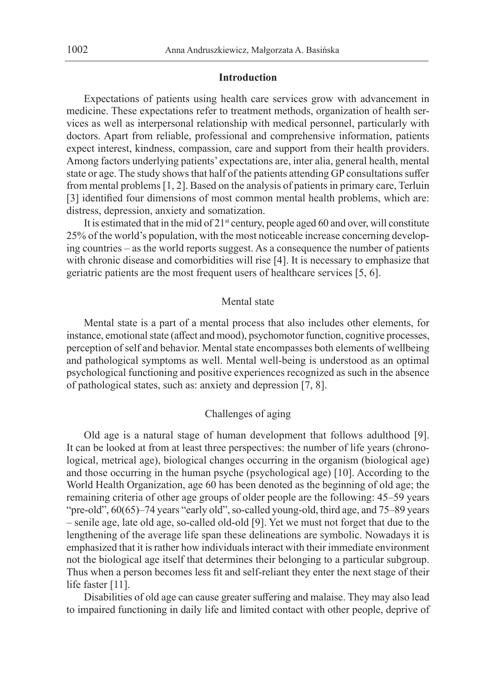## **Introduction**

Expectations of patients using health care services grow with advancement in medicine. These expectations refer to treatment methods, organization of health services as well as interpersonal relationship with medical personnel, particularly with doctors. Apart from reliable, professional and comprehensive information, patients expect interest, kindness, compassion, care and support from their health providers. Among factors underlying patients' expectations are, inter alia, general health, mental state or age. The study shows that half of the patients attending GP consultations suffer from mental problems [1, 2]. Based on the analysis of patients in primary care, Terluin [3] identified four dimensions of most common mental health problems, which are: distress, depression, anxiety and somatization.

It is estimated that in the mid of  $21<sup>st</sup>$  century, people aged 60 and over, will constitute 25% of the world's population, with the most noticeable increase concerning developing countries – as the world reports suggest. As a consequence the number of patients with chronic disease and comorbidities will rise [4]. It is necessary to emphasize that geriatric patients are the most frequent users of healthcare services [5, 6].

## Mental state

Mental state is a part of a mental process that also includes other elements, for instance, emotional state (affect and mood), psychomotor function, cognitive processes, perception of self and behavior. Mental state encompasses both elements of wellbeing and pathological symptoms as well. Mental well-being is understood as an optimal psychological functioning and positive experiences recognized as such in the absence of pathological states, such as: anxiety and depression [7, 8].

# Challenges of aging

Old age is a natural stage of human development that follows adulthood [9]. It can be looked at from at least three perspectives: the number of life years (chronological, metrical age), biological changes occurring in the organism (biological age) and those occurring in the human psyche (psychological age) [10]. According to the World Health Organization, age 60 has been denoted as the beginning of old age; the remaining criteria of other age groups of older people are the following: 45–59 years "pre-old", 60(65)–74 years "early old", so-called young-old, third age, and 75–89 years – senile age, late old age, so-called old-old [9]. Yet we must not forget that due to the lengthening of the average life span these delineations are symbolic. Nowadays it is emphasized that it is rather how individuals interact with their immediate environment not the biological age itself that determines their belonging to a particular subgroup. Thus when a person becomes less fit and self-reliant they enter the next stage of their life faster [11].

Disabilities of old age can cause greater suffering and malaise. They may also lead to impaired functioning in daily life and limited contact with other people, deprive of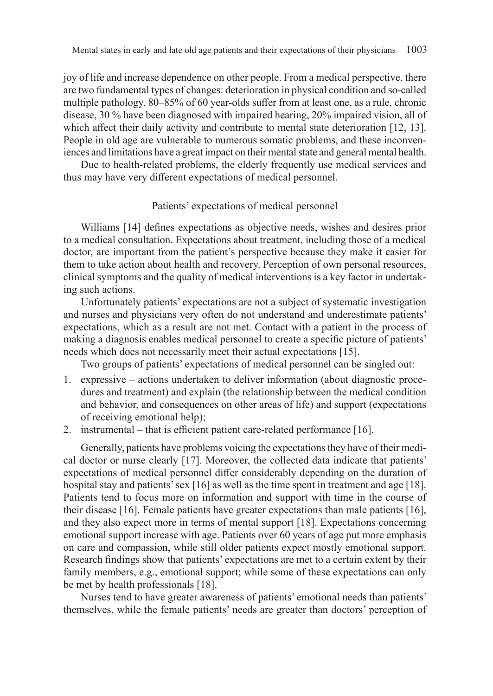joy of life and increase dependence on other people. From a medical perspective, there are two fundamental types of changes: deterioration in physical condition and so-called multiple pathology. 80–85% of 60 year-olds suffer from at least one, as a rule, chronic disease, 30 % have been diagnosed with impaired hearing, 20% impaired vision, all of which affect their daily activity and contribute to mental state deterioration [12, 13]. People in old age are vulnerable to numerous somatic problems, and these inconveniences and limitations have a great impact on their mental state and general mental health.

Due to health-related problems, the elderly frequently use medical services and thus may have very different expectations of medical personnel.

## Patients' expectations of medical personnel

Williams [14] defines expectations as objective needs, wishes and desires prior to a medical consultation. Expectations about treatment, including those of a medical doctor, are important from the patient's perspective because they make it easier for them to take action about health and recovery. Perception of own personal resources, clinical symptoms and the quality of medical interventions is a key factor in undertaking such actions.

Unfortunately patients' expectations are not a subject of systematic investigation and nurses and physicians very often do not understand and underestimate patients' expectations, which as a result are not met. Contact with a patient in the process of making a diagnosis enables medical personnel to create a specific picture of patients' needs which does not necessarily meet their actual expectations [15].

Two groups of patients' expectations of medical personnel can be singled out:

- 1. expressive actions undertaken to deliver information (about diagnostic procedures and treatment) and explain (the relationship between the medical condition and behavior, and consequences on other areas of life) and support (expectations of receiving emotional help);
- 2. instrumental that is efficient patient care-related performance [16].

Generally, patients have problems voicing the expectations they have of their medical doctor or nurse clearly [17]. Moreover, the collected data indicate that patients' expectations of medical personnel differ considerably depending on the duration of hospital stay and patients' sex [16] as well as the time spent in treatment and age [18]. Patients tend to focus more on information and support with time in the course of their disease [16]. Female patients have greater expectations than male patients [16], and they also expect more in terms of mental support [18]. Expectations concerning emotional support increase with age. Patients over 60 years of age put more emphasis on care and compassion, while still older patients expect mostly emotional support. Research findings show that patients' expectations are met to a certain extent by their family members, e.g., emotional support; while some of these expectations can only be met by health professionals [18].

Nurses tend to have greater awareness of patients' emotional needs than patients' themselves, while the female patients' needs are greater than doctors' perception of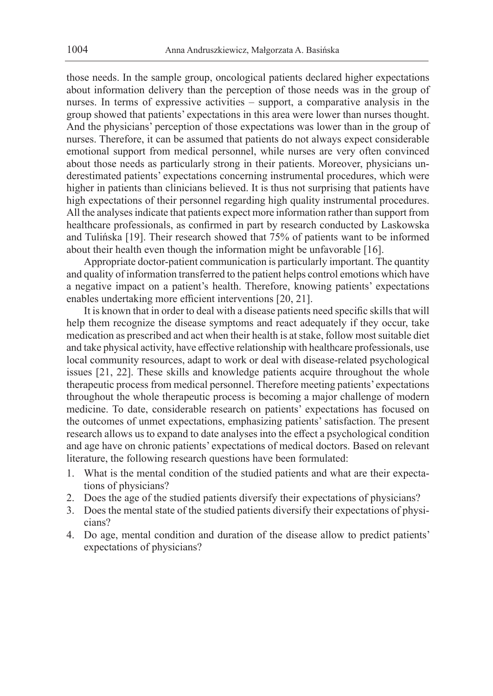those needs. In the sample group, oncological patients declared higher expectations about information delivery than the perception of those needs was in the group of nurses. In terms of expressive activities – support, a comparative analysis in the group showed that patients' expectations in this area were lower than nurses thought. And the physicians' perception of those expectations was lower than in the group of nurses. Therefore, it can be assumed that patients do not always expect considerable emotional support from medical personnel, while nurses are very often convinced about those needs as particularly strong in their patients. Moreover, physicians underestimated patients' expectations concerning instrumental procedures, which were higher in patients than clinicians believed. It is thus not surprising that patients have high expectations of their personnel regarding high quality instrumental procedures. All the analyses indicate that patients expect more information rather than support from healthcare professionals, as confirmed in part by research conducted by Laskowska and Tulińska [19]. Their research showed that 75% of patients want to be informed about their health even though the information might be unfavorable [16].

Appropriate doctor-patient communication is particularly important. The quantity and quality of information transferred to the patient helps control emotions which have a negative impact on a patient's health. Therefore, knowing patients' expectations enables undertaking more efficient interventions [20, 21].

It is known that in order to deal with a disease patients need specific skills that will help them recognize the disease symptoms and react adequately if they occur, take medication as prescribed and act when their health is at stake, follow most suitable diet and take physical activity, have effective relationship with healthcare professionals, use local community resources, adapt to work or deal with disease-related psychological issues [21, 22]. These skills and knowledge patients acquire throughout the whole therapeutic process from medical personnel. Therefore meeting patients' expectations throughout the whole therapeutic process is becoming a major challenge of modern medicine. To date, considerable research on patients' expectations has focused on the outcomes of unmet expectations, emphasizing patients' satisfaction. The present research allows us to expand to date analyses into the effect a psychological condition and age have on chronic patients' expectations of medical doctors. Based on relevant literature, the following research questions have been formulated:

- 1. What is the mental condition of the studied patients and what are their expectations of physicians?
- 2. Does the age of the studied patients diversify their expectations of physicians?
- 3. Does the mental state of the studied patients diversify their expectations of physicians?
- 4. Do age, mental condition and duration of the disease allow to predict patients' expectations of physicians?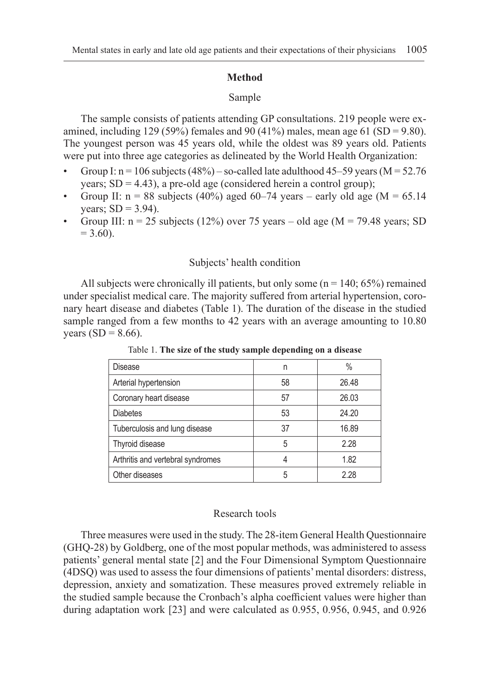## **Method**

## Sample

The sample consists of patients attending GP consultations. 219 people were examined, including 129 (59%) females and 90 (41%) males, mean age 61 (SD = 9.80). The youngest person was 45 years old, while the oldest was 89 years old. Patients were put into three age categories as delineated by the World Health Organization:

- Group I:  $n = 106$  subjects (48%) so-called late adulthood 45–59 years (M = 52.76 years;  $SD = 4.43$ ), a pre-old age (considered herein a control group);
- Group II:  $n = 88$  subjects (40%) aged 60–74 years early old age (M = 65.14 years;  $SD = 3.94$ ).
- Group III:  $n = 25$  subjects (12%) over 75 years old age (M = 79.48 years; SD  $= 3.60$ ).

## Subjects' health condition

All subjects were chronically ill patients, but only some  $(n = 140; 65%)$  remained under specialist medical care. The majority suffered from arterial hypertension, coronary heart disease and diabetes (Table 1). The duration of the disease in the studied sample ranged from a few months to 42 years with an average amounting to 10.80 years  $(SD = 8.66)$ .

| Disease                           | n  | $\%$  |
|-----------------------------------|----|-------|
| Arterial hypertension             | 58 | 26.48 |
| Coronary heart disease            | 57 | 26.03 |
| <b>Diabetes</b>                   | 53 | 24.20 |
| Tuberculosis and lung disease     | 37 | 16.89 |
| Thyroid disease                   | 5  | 2.28  |
| Arthritis and vertebral syndromes |    | 1.82  |
| Other diseases                    | 5  | 2 28  |

Table 1. **The size of the study sample depending on a disease**

#### Research tools

Three measures were used in the study. The 28-item General Health Questionnaire (GHQ-28) by Goldberg, one of the most popular methods, was administered to assess patients' general mental state [2] and the Four Dimensional Symptom Questionnaire (4DSQ) was used to assess the four dimensions of patients' mental disorders: distress, depression, anxiety and somatization. These measures proved extremely reliable in the studied sample because the Cronbach's alpha coefficient values were higher than during adaptation work [23] and were calculated as 0.955, 0.956, 0.945, and 0.926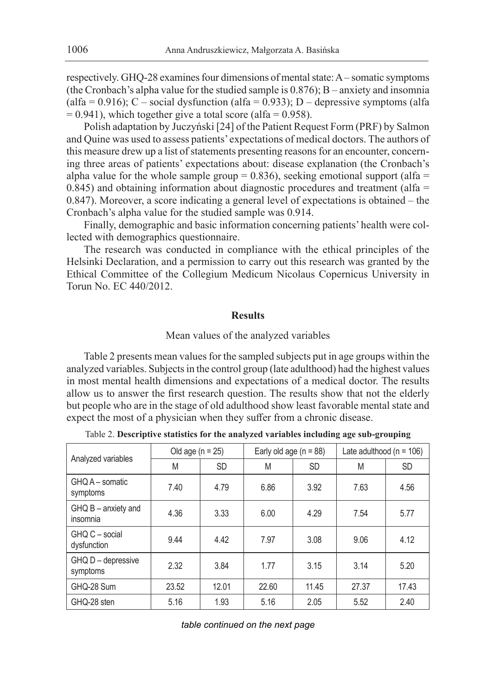respectively. GHQ-28 examines four dimensions of mental state: A – somatic symptoms (the Cronbach's alpha value for the studied sample is 0.876); B – anxiety and insomnia (alfa =  $0.916$ ); C – social dysfunction (alfa =  $0.933$ ); D – depressive symptoms (alfa  $= 0.941$ ), which together give a total score (alfa  $= 0.958$ ).

Polish adaptation by Juczyński [24] of the Patient Request Form (PRF) by Salmon and Quine was used to assess patients' expectations of medical doctors. The authors of this measure drew up a list of statements presenting reasons for an encounter, concerning three areas of patients' expectations about: disease explanation (the Cronbach's alpha value for the whole sample group =  $0.836$ ), seeking emotional support (alfa =  $0.845$ ) and obtaining information about diagnostic procedures and treatment (alfa = 0.847). Moreover, a score indicating a general level of expectations is obtained – the Cronbach's alpha value for the studied sample was 0.914.

Finally, demographic and basic information concerning patients' health were collected with demographics questionnaire.

The research was conducted in compliance with the ethical principles of the Helsinki Declaration, and a permission to carry out this research was granted by the Ethical Committee of the Collegium Medicum Nicolaus Copernicus University in Torun No. EC 440/2012.

#### **Results**

# Mean values of the analyzed variables

Table 2 presents mean values for the sampled subjects put in age groups within the analyzed variables. Subjects in the control group (late adulthood) had the highest values in most mental health dimensions and expectations of a medical doctor. The results allow us to answer the first research question. The results show that not the elderly but people who are in the stage of old adulthood show least favorable mental state and expect the most of a physician when they suffer from a chronic disease.

| Analyzed variables                | Old age $(n = 25)$ |           | Early old age $(n = 88)$ |           | Late adulthood ( $n = 106$ ) |           |
|-----------------------------------|--------------------|-----------|--------------------------|-----------|------------------------------|-----------|
|                                   | M                  | <b>SD</b> | M                        | <b>SD</b> | M                            | <b>SD</b> |
| GHQ A - somatic<br>symptoms       | 7.40               | 4.79      | 6.86                     | 3.92      | 7.63                         | 4.56      |
| $GHQ B -$ anxiety and<br>insomnia | 4.36               | 3.33      | 6.00                     | 4.29      | 7.54                         | 5.77      |
| GHQ C - social<br>dysfunction     | 9.44               | 4.42      | 7.97                     | 3.08      | 9.06                         | 4.12      |
| GHQ D - depressive<br>symptoms    | 2.32               | 3.84      | 1.77                     | 3.15      | 3.14                         | 5.20      |
| GHQ-28 Sum                        | 23.52              | 12.01     | 22.60                    | 11.45     | 27.37                        | 17.43     |
| GHQ-28 sten                       | 5.16               | 1.93      | 5.16                     | 2.05      | 5.52                         | 2.40      |

Table 2. **Descriptive statistics for the analyzed variables including age sub-grouping**

*table continued on the next page*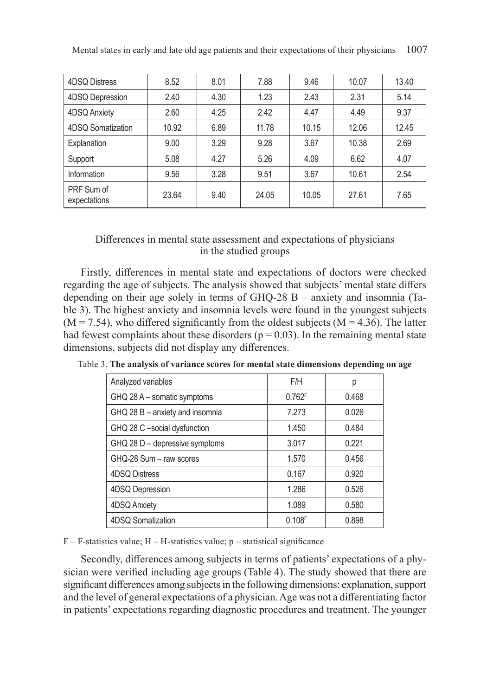| 4DSQ Distress              | 8.52  | 8.01 | 7.88  | 9.46  | 10.07 | 13.40 |
|----------------------------|-------|------|-------|-------|-------|-------|
| 4DSQ Depression            | 2.40  | 4.30 | 1.23  | 2.43  | 2.31  | 5.14  |
| 4DSQ Anxiety               | 2.60  | 4.25 | 2.42  | 4.47  | 4.49  | 9.37  |
| 4DSQ Somatization          | 10.92 | 6.89 | 11.78 | 10.15 | 12.06 | 12.45 |
| Explanation                | 9.00  | 3.29 | 9.28  | 3.67  | 10.38 | 2.69  |
| Support                    | 5.08  | 4.27 | 5.26  | 4.09  | 6.62  | 4.07  |
| Information                | 9.56  | 3.28 | 9.51  | 3.67  | 10.61 | 2.54  |
| PRF Sum of<br>expectations | 23.64 | 9.40 | 24.05 | 10.05 | 27.61 | 7.65  |

# Differences in mental state assessment and expectations of physicians in the studied groups

Firstly, differences in mental state and expectations of doctors were checked regarding the age of subjects. The analysis showed that subjects' mental state differs depending on their age solely in terms of GHQ-28 B – anxiety and insomnia (Table 3). The highest anxiety and insomnia levels were found in the youngest subjects  $(M = 7.54)$ , who differed significantly from the oldest subjects  $(M = 4.36)$ . The latter had fewest complaints about these disorders ( $p = 0.03$ ). In the remaining mental state dimensions, subjects did not display any differences.

| Analyzed variables              | F/H    | р     |
|---------------------------------|--------|-------|
| GHQ 28 A - somatic symptoms     | 0.762F | 0.468 |
| GHQ 28 B - anxiety and insomnia | 7.273  | 0.026 |
| GHQ 28 C -social dysfunction    | 1.450  | 0.484 |
| GHQ 28 D - depressive symptoms  | 3.017  | 0.221 |
| GHQ-28 Sum - raw scores         | 1.570  | 0.456 |
| 4DSQ Distress                   | 0.167  | 0.920 |
| 4DSQ Depression                 | 1.286  | 0.526 |
| 4DSQ Anxiety                    | 1.089  | 0.580 |
| 4DSQ Somatization               | 0.108F | 0.898 |

Table 3. **The analysis of variance scores for mental state dimensions depending on age**

 $F - F$ -statistics value;  $H - H$ -statistics value;  $p -$ statistical significance

Secondly, differences among subjects in terms of patients' expectations of a physician were verified including age groups (Table 4). The study showed that there are significant differences among subjects in the following dimensions: explanation, support and the level of general expectations of a physician. Age was not a differentiating factor in patients' expectations regarding diagnostic procedures and treatment. The younger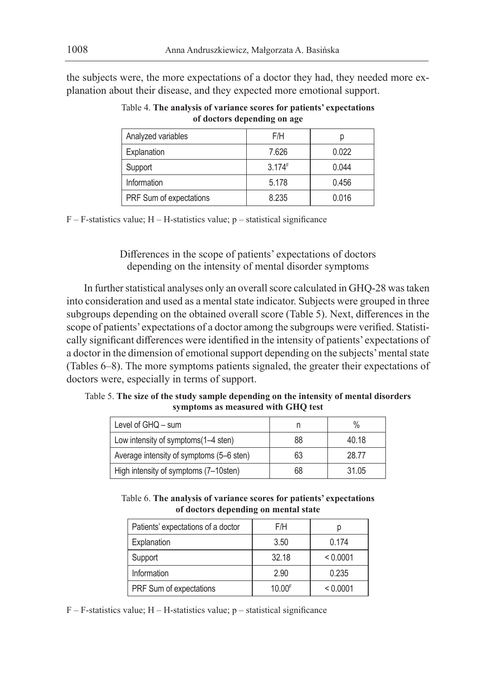the subjects were, the more expectations of a doctor they had, they needed more explanation about their disease, and they expected more emotional support.

| Analyzed variables      | F/H    | р     |
|-------------------------|--------|-------|
| Explanation             | 7.626  | 0.022 |
| Support                 | 3.174F | 0.044 |
| Information             | 5.178  | 0.456 |
| PRF Sum of expectations | 8.235  | 0.016 |

Table 4. **The analysis of variance scores for patients' expectations of doctors depending on age**

 $F - F$ -statistics value;  $H - H$ -statistics value;  $p -$ statistical significance

Differences in the scope of patients' expectations of doctors depending on the intensity of mental disorder symptoms

In further statistical analyses only an overall score calculated in GHQ-28 was taken into consideration and used as a mental state indicator. Subjects were grouped in three subgroups depending on the obtained overall score (Table 5). Next, differences in the scope of patients' expectations of a doctor among the subgroups were verified. Statistically significant differences were identified in the intensity of patients' expectations of a doctor in the dimension of emotional support depending on the subjects' mental state (Tables 6–8). The more symptoms patients signaled, the greater their expectations of doctors were, especially in terms of support.

Table 5. **The size of the study sample depending on the intensity of mental disorders symptoms as measured with GHQ test**

| Level of $GHQ - sum$                     |    | $\frac{0}{0}$ |
|------------------------------------------|----|---------------|
| Low intensity of symptoms (1–4 sten)     | 88 | 40.18         |
| Average intensity of symptoms (5–6 sten) | 63 | 28.77         |
| High intensity of symptoms (7–10sten)    | 68 | 31.05         |

Table 6. **The analysis of variance scores for patients' expectations of doctors depending on mental state**

| Patients' expectations of a doctor | F/H    | р        |
|------------------------------------|--------|----------|
| Explanation                        | 3.50   | 0.174    |
| Support                            | 32.18  | < 0.0001 |
| Information                        | 2.90   | 0.235    |
| PRF Sum of expectations            | 10.00F | < 0.0001 |

F – F-statistics value; H – H-statistics value; p – statistical significance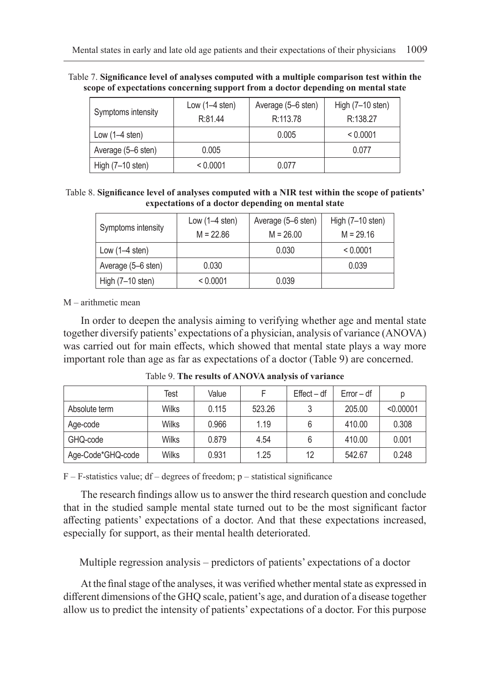| Table 7. Significance level of analyses computed with a multiple comparison test within the |  |
|---------------------------------------------------------------------------------------------|--|
| scope of expectations concerning support from a doctor depending on mental state            |  |

| Symptoms intensity         | Average (5–6 sten)<br>Low $(1-4$ sten) |          | High (7-10 sten) |
|----------------------------|----------------------------------------|----------|------------------|
|                            | R:81.44                                | R:113.78 | R:138.27         |
| Low $(1-4$ sten)           |                                        | 0.005    | < 0.0001         |
| Average (5-6 sten)         | 0.005                                  |          | 0.077            |
| High $(7-10 \text{ sten})$ | < 0.0001                               | 0.077    |                  |

Table 8. **Significance level of analyses computed with a NIR test within the scope of patients' expectations of a doctor depending on mental state**

| Symptoms intensity | Average (5–6 sten)<br>Low $(1-4$ sten) |             | High (7-10 sten) |  |
|--------------------|----------------------------------------|-------------|------------------|--|
|                    | $M = 22.86$                            | $M = 26.00$ | $M = 29.16$      |  |
| Low $(1-4$ sten)   |                                        | 0.030       | < 0.0001         |  |
| Average (5–6 sten) | 0.030                                  |             | 0.039            |  |
| High (7-10 sten)   | < 0.0001                               | 0.039       |                  |  |

M – arithmetic mean

In order to deepen the analysis aiming to verifying whether age and mental state together diversify patients' expectations of a physician, analysis of variance (ANOVA) was carried out for main effects, which showed that mental state plays a way more important role than age as far as expectations of a doctor (Table 9) are concerned.

|                   | Test  | Value |        | $Effect - df$ | $Error - df$ | р         |
|-------------------|-------|-------|--------|---------------|--------------|-----------|
| Absolute term     | Wilks | 0.115 | 523.26 |               | 205.00       | < 0.00001 |
| Age-code          | Wilks | 0.966 | 1.19   |               | 410.00       | 0.308     |
| GHQ-code          | Wilks | 0.879 | 4.54   |               | 410.00       | 0.001     |
| Age-Code*GHQ-code | Wilks | 0.931 | 1.25   | 12            | 542.67       | 0.248     |

Table 9. **The results of ANOVA analysis of variance**

 $F - F$ -statistics value; df – degrees of freedom; p – statistical significance

The research findings allow us to answer the third research question and conclude that in the studied sample mental state turned out to be the most significant factor affecting patients' expectations of a doctor. And that these expectations increased, especially for support, as their mental health deteriorated.

Multiple regression analysis – predictors of patients' expectations of a doctor

At the final stage of the analyses, it was verified whether mental state as expressed in different dimensions of the GHQ scale, patient's age, and duration of a disease together allow us to predict the intensity of patients' expectations of a doctor. For this purpose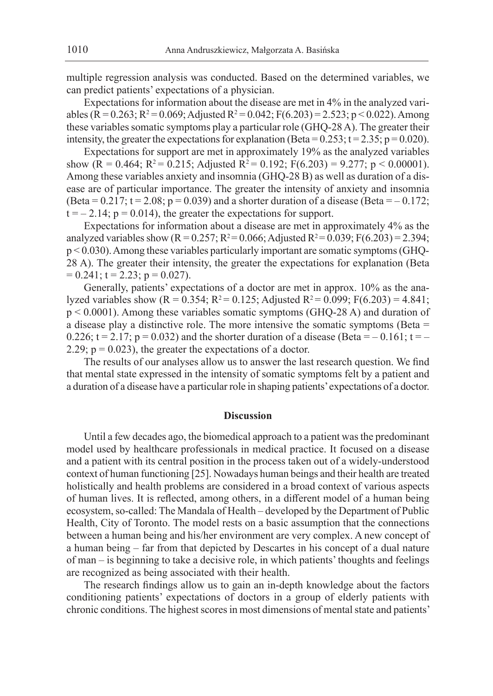multiple regression analysis was conducted. Based on the determined variables, we can predict patients' expectations of a physician.

Expectations for information about the disease are met in 4% in the analyzed variables (R = 0.263; R<sup>2</sup> = 0.069; Adjusted R<sup>2</sup> = 0.042; F(6.203) = 2.523; p < 0.022). Among these variables somatic symptoms play a particular role (GHQ-28 A). The greater their intensity, the greater the expectations for explanation (Beta =  $0.253$ ; t =  $2.35$ ; p =  $0.020$ ).

Expectations for support are met in approximately 19% as the analyzed variables show  $(R = 0.464; R^2 = 0.215;$  Adjusted  $R^2 = 0.192; F(6.203) = 9.277; p < 0.00001$ . Among these variables anxiety and insomnia (GHQ-28 B) as well as duration of a disease are of particular importance. The greater the intensity of anxiety and insomnia (Beta =  $0.217$ ; t =  $2.08$ ; p =  $0.039$ ) and a shorter duration of a disease (Beta =  $-0.172$ ;  $t = -2.14$ ;  $p = 0.014$ ), the greater the expectations for support.

Expectations for information about a disease are met in approximately 4% as the analyzed variables show ( $R = 0.257$ ;  $R^2 = 0.066$ ; Adjusted  $R^2 = 0.039$ ;  $F(6.203) = 2.394$ ; p < 0.030). Among these variables particularly important are somatic symptoms (GHQ-28 A). The greater their intensity, the greater the expectations for explanation (Beta  $= 0.241$ ; t = 2.23; p = 0.027).

Generally, patients' expectations of a doctor are met in approx. 10% as the analyzed variables show ( $R = 0.354$ ;  $R^2 = 0.125$ ; Adjusted  $R^2 = 0.099$ ;  $F(6.203) = 4.841$ ; p < 0.0001). Among these variables somatic symptoms (GHQ-28 A) and duration of a disease play a distinctive role. The more intensive the somatic symptoms (Beta = 0.226;  $t = 2.17$ ;  $p = 0.032$ ) and the shorter duration of a disease (Beta =  $-0.161$ ;  $t = -$ 2.29;  $p = 0.023$ ), the greater the expectations of a doctor.

The results of our analyses allow us to answer the last research question. We find that mental state expressed in the intensity of somatic symptoms felt by a patient and a duration of a disease have a particular role in shaping patients' expectations of a doctor.

#### **Discussion**

Until a few decades ago, the biomedical approach to a patient was the predominant model used by healthcare professionals in medical practice. It focused on a disease and a patient with its central position in the process taken out of a widely-understood context of human functioning [25]. Nowadays human beings and their health are treated holistically and health problems are considered in a broad context of various aspects of human lives. It is reflected, among others, in a different model of a human being ecosystem, so-called: The Mandala of Health – developed by the Department of Public Health, City of Toronto. The model rests on a basic assumption that the connections between a human being and his/her environment are very complex. A new concept of a human being – far from that depicted by Descartes in his concept of a dual nature of man – is beginning to take a decisive role, in which patients' thoughts and feelings are recognized as being associated with their health.

The research findings allow us to gain an in-depth knowledge about the factors conditioning patients' expectations of doctors in a group of elderly patients with chronic conditions. The highest scores in most dimensions of mental state and patients'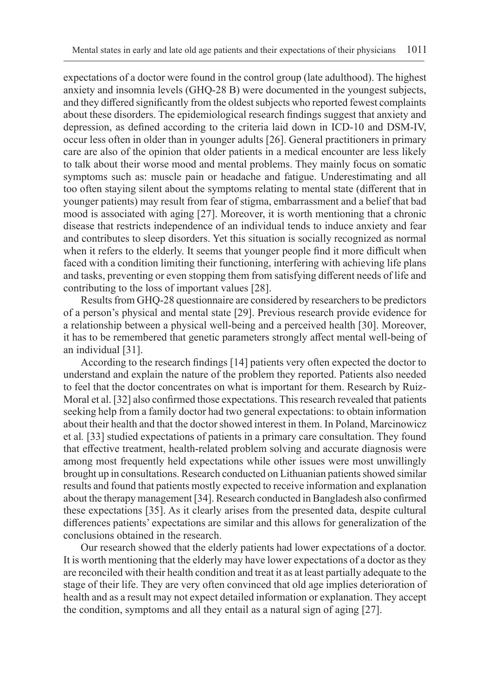expectations of a doctor were found in the control group (late adulthood). The highest anxiety and insomnia levels (GHQ-28 B) were documented in the youngest subjects, and they differed significantly from the oldest subjects who reported fewest complaints about these disorders. The epidemiological research findings suggest that anxiety and depression, as defined according to the criteria laid down in ICD-10 and DSM-IV, occur less often in older than in younger adults [26]. General practitioners in primary care are also of the opinion that older patients in a medical encounter are less likely to talk about their worse mood and mental problems. They mainly focus on somatic symptoms such as: muscle pain or headache and fatigue. Underestimating and all too often staying silent about the symptoms relating to mental state (different that in younger patients) may result from fear of stigma, embarrassment and a belief that bad mood is associated with aging [27]. Moreover, it is worth mentioning that a chronic disease that restricts independence of an individual tends to induce anxiety and fear and contributes to sleep disorders. Yet this situation is socially recognized as normal when it refers to the elderly. It seems that younger people find it more difficult when faced with a condition limiting their functioning, interfering with achieving life plans and tasks, preventing or even stopping them from satisfying different needs of life and contributing to the loss of important values [28].

Results from GHQ-28 questionnaire are considered by researchers to be predictors of a person's physical and mental state [29]. Previous research provide evidence for a relationship between a physical well-being and a perceived health [30]. Moreover, it has to be remembered that genetic parameters strongly affect mental well-being of an individual [31].

According to the research findings [14] patients very often expected the doctor to understand and explain the nature of the problem they reported. Patients also needed to feel that the doctor concentrates on what is important for them. Research by Ruiz-Moral et al. [32] also confirmed those expectations. This research revealed that patients seeking help from a family doctor had two general expectations: to obtain information about their health and that the doctor showed interest in them. In Poland, Marcinowicz et al*.* [33] studied expectations of patients in a primary care consultation. They found that effective treatment, health-related problem solving and accurate diagnosis were among most frequently held expectations while other issues were most unwillingly brought up in consultations. Research conducted on Lithuanian patients showed similar results and found that patients mostly expected to receive information and explanation about the therapy management [34]. Research conducted in Bangladesh also confirmed these expectations [35]. As it clearly arises from the presented data, despite cultural differences patients' expectations are similar and this allows for generalization of the conclusions obtained in the research.

Our research showed that the elderly patients had lower expectations of a doctor. It is worth mentioning that the elderly may have lower expectations of a doctor as they are reconciled with their health condition and treat it as at least partially adequate to the stage of their life. They are very often convinced that old age implies deterioration of health and as a result may not expect detailed information or explanation. They accept the condition, symptoms and all they entail as a natural sign of aging [27].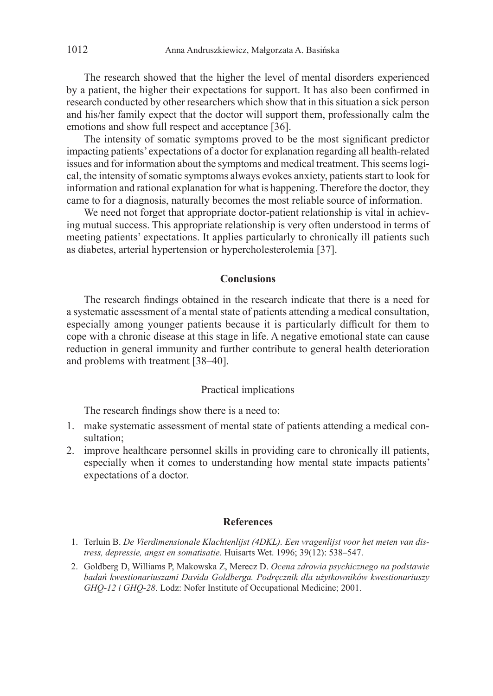The research showed that the higher the level of mental disorders experienced by a patient, the higher their expectations for support. It has also been confirmed in research conducted by other researchers which show that in this situation a sick person and his/her family expect that the doctor will support them, professionally calm the emotions and show full respect and acceptance [36].

The intensity of somatic symptoms proved to be the most significant predictor impacting patients' expectations of a doctor for explanation regarding all health-related issues and for information about the symptoms and medical treatment. This seems logical, the intensity of somatic symptoms always evokes anxiety, patients start to look for information and rational explanation for what is happening. Therefore the doctor, they came to for a diagnosis, naturally becomes the most reliable source of information.

We need not forget that appropriate doctor-patient relationship is vital in achieving mutual success. This appropriate relationship is very often understood in terms of meeting patients' expectations. It applies particularly to chronically ill patients such as diabetes, arterial hypertension or hypercholesterolemia [37].

## **Conclusions**

The research findings obtained in the research indicate that there is a need for a systematic assessment of a mental state of patients attending a medical consultation, especially among younger patients because it is particularly difficult for them to cope with a chronic disease at this stage in life. A negative emotional state can cause reduction in general immunity and further contribute to general health deterioration and problems with treatment [38–40].

## Practical implications

The research findings show there is a need to:

- 1. make systematic assessment of mental state of patients attending a medical consultation;
- 2. improve healthcare personnel skills in providing care to chronically ill patients, especially when it comes to understanding how mental state impacts patients' expectations of a doctor.

## **References**

- 1. Terluin B. *De Vierdimensionale Klachtenlijst (4DKL). Een vragenlijst voor het meten van distress, depressie, angst en somatisatie*. Huisarts Wet. 1996; 39(12): 538–547.
- 2. Goldberg D, Williams P, Makowska Z, Merecz D. *Ocena zdrowia psychicznego na podstawie badań kwestionariuszami Davida Goldberga. Podręcznik dla użytkowników kwestionariuszy GHQ-12 i GHQ-28*. Lodz: Nofer Institute of Occupational Medicine; 2001.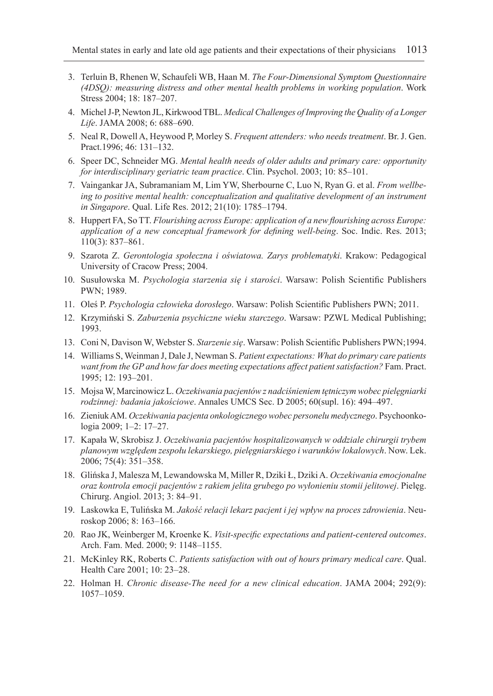- 3. Terluin B, Rhenen W, Schaufeli WB, Haan M. *The Four-Dimensional Symptom Questionnaire (4DSQ): measuring distress and other mental health problems in working population*. Work Stress 2004; 18: 187–207.
- 4. Michel J-P, Newton JL, Kirkwood TBL. *Medical Challenges of Improving the Quality of a Longer Life*. JAMA 2008; 6: 688–690.
- 5. Neal R, Dowell A, Heywood P, Morley S. *Frequent attenders: who needs treatment*. Br. J. Gen. Pract.1996; 46: 131–132.
- 6. Speer DC, Schneider MG. *Mental health needs of older adults and primary care: opportunity for interdisciplinary geriatric team practice*. Clin. Psychol. 2003; 10: 85–101.
- 7. Vaingankar JA, Subramaniam M, Lim YW, Sherbourne C, Luo N, Ryan G. et al. *From wellbeing to positive mental health: conceptualization and qualitative development of an instrument in Singapore*. Qual. Life Res. 2012; 21(10): 1785–1794.
- 8. Huppert FA, So TT. *Flourishing across Europe: application of a new flourishing across Europe: application of a new conceptual framework for defining well-being*. Soc. Indic. Res. 2013; 110(3): 837–861.
- 9. Szarota Z. *Gerontologia społeczna i oświatowa. Zarys problematyki*. Krakow: Pedagogical University of Cracow Press; 2004.
- 10. Susułowska M. *Psychologia starzenia się i starości*. Warsaw: Polish Scientific Publishers PWN; 1989.
- 11. Oleś P. *Psychologia człowieka dorosłego*. Warsaw: Polish Scientific Publishers PWN; 2011.
- 12. Krzymiński S. *Zaburzenia psychiczne wieku starczego*. Warsaw: PZWL Medical Publishing; 1993.
- 13. Coni N, Davison W, Webster S. *Starzenie się*. Warsaw: Polish Scientific Publishers PWN;1994.
- 14. Williams S, Weinman J, Dale J, Newman S. *Patient expectations: What do primary care patients*  want from the GP and how far does meeting expectations affect patient satisfaction? Fam. Pract. 1995; 12: 193–201.
- 15. Mojsa W, Marcinowicz L. *Oczekiwania pacjentów z nadciśnieniem tętniczym wobec pielęgniarki rodzinnej: badania jakościowe*. Annales UMCS Sec. D 2005; 60(supl. 16): 494–497.
- 16. Zieniuk AM. *Oczekiwania pacjenta onkologicznego wobec personelu medycznego*. Psychoonkologia 2009; 1–2: 17–27.
- 17. Kapała W, Skrobisz J. *Oczekiwania pacjentów hospitalizowanych w oddziale chirurgii trybem planowym względem zespołu lekarskiego, pielęgniarskiego i warunków lokalowych*. Now. Lek. 2006; 75(4): 351–358.
- 18. Glińska J, Malesza M, Lewandowska M, Miller R, Dziki Ł, Dziki A. *Oczekiwania emocjonalne oraz kontrola emocji pacjentów z rakiem jelita grubego po wyłonieniu stomii jelitowej*. Pielęg. Chirurg. Angiol. 2013; 3: 84–91.
- 19. Laskowka E, Tulińska M. *Jakość relacji lekarz pacjent i jej wpływ na proces zdrowienia*. Neuroskop 2006; 8: 163–166.
- 20. Rao JK, Weinberger M, Kroenke K. *Visit-specific expectations and patient-centered outcomes*. Arch. Fam. Med. 2000; 9: 1148–1155.
- 21. McKinley RK, Roberts C. *Patients satisfaction with out of hours primary medical care*. Qual. Health Care 2001; 10: 23–28.
- 22. Holman H. *Chronic disease-The need for a new clinical education*. JAMA 2004; 292(9): 1057–1059.